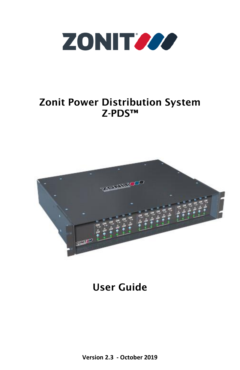

### Zonit Power Distribution System Z-PDS™



User Guide

**Version 2.3 - October 2019**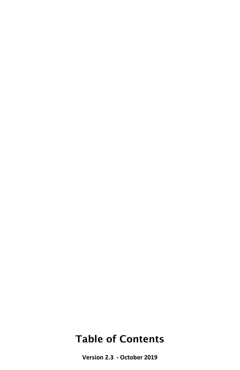### Table of Contents

**Version 2.3 - October 2019**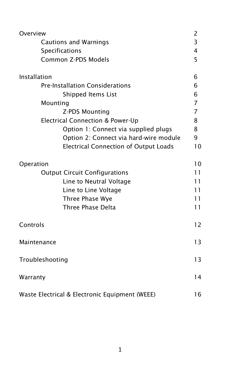| Overview                                       | $\overline{c}$ |  |  |  |  |  |
|------------------------------------------------|----------------|--|--|--|--|--|
| <b>Cautions and Warnings</b>                   |                |  |  |  |  |  |
| <b>Specifications</b>                          | 4              |  |  |  |  |  |
| Common Z-PDS Models                            | 5              |  |  |  |  |  |
| Installation                                   | 6              |  |  |  |  |  |
| <b>Pre-Installation Considerations</b>         |                |  |  |  |  |  |
| Shipped Items List                             | 6              |  |  |  |  |  |
| Mounting                                       | $\overline{7}$ |  |  |  |  |  |
| Z-PDS Mounting                                 | $\overline{7}$ |  |  |  |  |  |
| <b>Electrical Connection &amp; Power-Up</b>    | 8              |  |  |  |  |  |
| Option 1: Connect via supplied plugs           | 8              |  |  |  |  |  |
| Option 2: Connect via hard-wire module         | 9              |  |  |  |  |  |
| <b>Electrical Connection of Output Loads</b>   | 10             |  |  |  |  |  |
| Operation                                      | 10             |  |  |  |  |  |
| <b>Output Circuit Configurations</b>           | 11             |  |  |  |  |  |
| Line to Neutral Voltage                        | 11             |  |  |  |  |  |
| Line to Line Voltage                           | 11             |  |  |  |  |  |
| Three Phase Wye                                | 11             |  |  |  |  |  |
| Three Phase Delta                              | 11             |  |  |  |  |  |
| Controls                                       | 12             |  |  |  |  |  |
| Maintenance                                    | 13             |  |  |  |  |  |
| Troubleshooting                                | 13             |  |  |  |  |  |
| Warranty                                       | 14             |  |  |  |  |  |
| Waste Electrical & Electronic Equipment (WEEE) | 16             |  |  |  |  |  |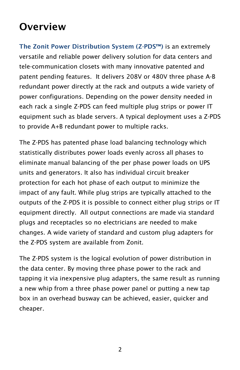### **Overview**

The Zonit Power Distribution System (Z-PDS™) is an extremely versatile and reliable power delivery solution for data centers and tele-communication closets with many innovative patented and patent pending features. It delivers 208V or 480V three phase A-B redundant power directly at the rack and outputs a wide variety of power configurations. Depending on the power density needed in each rack a single Z-PDS can feed multiple plug strips or power IT equipment such as blade servers. A typical deployment uses a Z-PDS to provide A+B redundant power to multiple racks.

The Z-PDS has patented phase load balancing technology which statistically distributes power loads evenly across all phases to eliminate manual balancing of the per phase power loads on UPS units and generators. It also has individual circuit breaker protection for each hot phase of each output to minimize the impact of any fault. While plug strips are typically attached to the outputs of the Z-PDS it is possible to connect either plug strips or IT equipment directly. All output connections are made via standard plugs and receptacles so no electricians are needed to make changes. A wide variety of standard and custom plug adapters for the Z-PDS system are available from Zonit.

The Z-PDS system is the logical evolution of power distribution in the data center. By moving three phase power to the rack and tapping it via inexpensive plug adapters, the same result as running a new whip from a three phase power panel or putting a new tap box in an overhead busway can be achieved, easier, quicker and cheaper.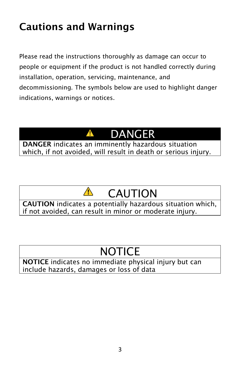## Cautions and Warnings

Please read the instructions thoroughly as damage can occur to people or equipment if the product is not handled correctly during installation, operation, servicing, maintenance, and decommissioning. The symbols below are used to highlight danger indications, warnings or notices.

# DANGER

DANGER indicates an imminently hazardous situation which, if not avoided, will result in death or serious injury.

A

#### $\sqrt{N}$ CAUTION

CAUTION indicates a potentially hazardous situation which, if not avoided, can result in minor or moderate injury.

# NOTICE

NOTICE indicates no immediate physical injury but can include hazards, damages or loss of data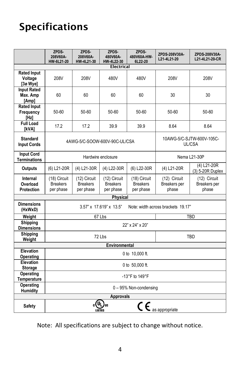## Specifications

|                                                        | ZPDS-<br>208V60A-<br>HW-6L21-20                               | ZPDS-<br>208V60A-<br>HW-4L21-30              | ZPDS-<br>480V60A-<br>HW-4L22-30              | ZPDS-<br>480V60A-HW-<br>6L22-20              | ZPDS-208V30A-<br>L21-4L21-20          | ZPDS-208V30A-<br>L21-4L21-20-CR       |  |  |  |
|--------------------------------------------------------|---------------------------------------------------------------|----------------------------------------------|----------------------------------------------|----------------------------------------------|---------------------------------------|---------------------------------------|--|--|--|
| <b>Electrical</b>                                      |                                                               |                                              |                                              |                                              |                                       |                                       |  |  |  |
| <b>Rated Input</b><br>Voltage<br>[3ø Wye]              | 208V                                                          | 208V                                         | 480V                                         | 480V                                         | 208V                                  | 208V                                  |  |  |  |
| <b>Input Rated</b><br>Max. Amp<br>[Amp]                | 60                                                            | 60                                           | 60                                           | 60                                           | 30                                    | 30                                    |  |  |  |
| <b>Rated Input</b><br>Frequency<br>[Hz]                | 50-60                                                         | 50-60                                        | 50-60                                        | 50-60                                        | 50-60                                 | 50-60                                 |  |  |  |
| <b>Full Load</b><br><b>IKVAI</b>                       | 17.2                                                          | 17.2                                         | 39.9                                         | 39.9                                         | 8.64                                  | 8.64                                  |  |  |  |
| <b>Standard</b><br><b>Input Cords</b>                  | 4AWG-5/C-SOOW-600V-90C-UL/CSA                                 |                                              |                                              |                                              | 10AWG-5/C-SJTW-600V-105C-<br>UL/CSA   |                                       |  |  |  |
| <b>Input Cord</b><br><b>Terminations</b>               | Hardwire enclosure                                            |                                              |                                              |                                              | Nema L21-30P                          |                                       |  |  |  |
| <b>Outputs</b>                                         | (6) L21-20R                                                   | (4) L21-30R                                  | (4) L22-30R                                  | (6) L22-30R                                  | (4) L21-20R                           | $(4)$ L21-20R<br>(3) 5-20R Duplex     |  |  |  |
| Internal<br>Overload<br><b>Protection</b>              | (18) Circuit<br><b>Breakers</b><br>per phase                  | (12) Circuit<br><b>Breakers</b><br>per phase | (12) Circuit<br><b>Breakers</b><br>per phase | (18) Circuit<br><b>Breakers</b><br>per phase | (12) Circuit<br>Breakers per<br>phase | (12) Circuit<br>Breakers per<br>phase |  |  |  |
| <b>Physical</b>                                        |                                                               |                                              |                                              |                                              |                                       |                                       |  |  |  |
| <b>Dimensions</b><br>(HxWxD)                           | 3.57" x 17.619" x 13.5"<br>Note: width across brackets 19.17" |                                              |                                              |                                              |                                       |                                       |  |  |  |
| Weight                                                 |                                                               | 67Lbs                                        | <b>TBD</b>                                   |                                              |                                       |                                       |  |  |  |
| Shipping<br><b>Dimensions</b>                          | 22" x 24" x 20"                                               |                                              |                                              |                                              |                                       |                                       |  |  |  |
| <b>Shipping</b><br>Weight                              | 72 Lbs<br>TBD                                                 |                                              |                                              |                                              |                                       |                                       |  |  |  |
| Environmental                                          |                                                               |                                              |                                              |                                              |                                       |                                       |  |  |  |
| Elevation<br>Operating                                 | 0 to 10,000 ft.                                               |                                              |                                              |                                              |                                       |                                       |  |  |  |
| Elevation<br><b>Storage</b>                            | 0 to 50,000 ft.                                               |                                              |                                              |                                              |                                       |                                       |  |  |  |
| Operating<br><b>Temperature</b>                        | -13°F to 149°F                                                |                                              |                                              |                                              |                                       |                                       |  |  |  |
| <b>Operating</b><br><b>Humidity</b>                    | 0 - 95% Non-condensing                                        |                                              |                                              |                                              |                                       |                                       |  |  |  |
| <b>Approvals</b>                                       |                                                               |                                              |                                              |                                              |                                       |                                       |  |  |  |
| $\mathsf{c}\,\epsilon$ as appropriate<br><b>Safety</b> |                                                               |                                              |                                              |                                              |                                       |                                       |  |  |  |

Note: All specifications are subject to change without notice.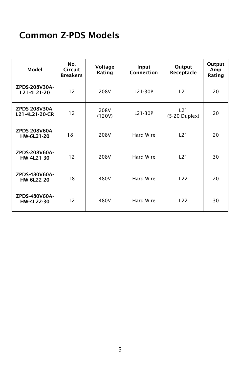### Common Z-PDS Models

| Model                           | No.<br><b>Circuit</b><br><b>Breakers</b> | Voltage<br>Rating | Input<br>Connection | Output<br>Receptacle   | Output<br>Amp<br>Rating |
|---------------------------------|------------------------------------------|-------------------|---------------------|------------------------|-------------------------|
| ZPDS-208V30A-<br>L21-4L21-20    | 12                                       | 208V              | L21-30P             | L21                    | 20                      |
| ZPDS-208V30A-<br>L21-4L21-20-CR | 12                                       | 208V<br>(120V)    | L21-30P             | L21<br>$(5-20$ Duplex) | 20                      |
| ZPDS-208V60A-<br>HW-6L21-20     | 18                                       | 208V              | Hard Wire           | L21                    | 20                      |
| ZPDS-208V60A-<br>HW-4L21-30     | 12                                       | 208V              | Hard Wire           | L21                    | 30                      |
| ZPDS-480V60A-<br>HW-6L22-20     | 18                                       | 480V              | Hard Wire           | 122                    | 20                      |
| ZPDS-480V60A-<br>HW-4L22-30     | 12                                       | 480V              | Hard Wire           | L22                    | 30                      |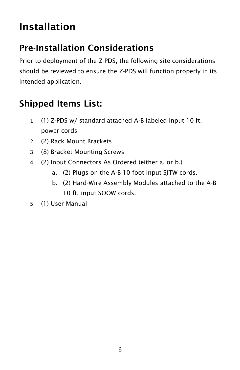# Installation

### Pre-Installation Considerations

Prior to deployment of the Z-PDS, the following site considerations should be reviewed to ensure the Z-PDS will function properly in its intended application.

### Shipped Items List:

- 1. (1) Z-PDS w/ standard attached A-B labeled input 10 ft. power cords
- 2. (2) Rack Mount Brackets
- 3. (8) Bracket Mounting Screws
- 4. (2) Input Connectors As Ordered (either a. or b.)
	- a. (2) Plugs on the A-B 10 foot input SJTW cords.
	- b. (2) Hard-Wire Assembly Modules attached to the A-B 10 ft. input SOOW cords.
- 5. (1) User Manual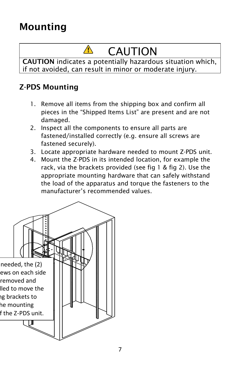## Mounting

# CAUTION

CAUTION indicates a potentially hazardous situation which, if not avoided, can result in minor or moderate injury.

### Z-PDS Mounting

- 1. Remove all items from the shipping box and confirm all pieces in the "Shipped Items List" are present and are not damaged.
- 2. Inspect all the components to ensure all parts are fastened/installed correctly (e.g. ensure all screws are fastened securely).
- 3. Locate appropriate hardware needed to mount Z-PDS unit.
- 4. Mount the Z-PDS in its intended location, for example the rack, via the brackets provided (see fig 1 & fig 2). Use the appropriate mounting hardware that can safely withstand the load of the apparatus and torque the fasteners to the manufacturer's recommended values.

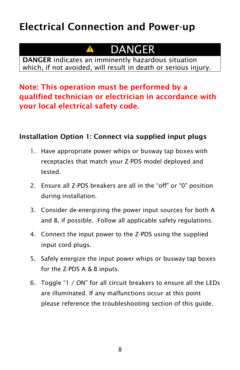### Electrical Connection and Power-up

#### DANGER A

DANGER indicates an imminently hazardous situation which, if not avoided, will result in death or serious injury.

### Note: This operation must be performed by a qualified technician or electrician in accordance with your local electrical safety code.

#### Installation Option 1: Connect via supplied input plugs

- 1. Have appropriate power whips or busway tap boxes with receptacles that match your Z-PDS model deployed and tested.
- 2. Ensure all Z-PDS breakers are all in the "off" or "0" position during installation.
- 3. Consider de-energizing the power input sources for both A and B, if possible. Follow all applicable safety regulations.
- 4. Connect the input power to the Z-PDS using the supplied input cord plugs.
- 5. Safely energize the input power whips or busway tap boxes for the Z-PDS A & B inputs.
- 6. Toggle "1 / ON" for all circuit breakers to ensure all the LEDs are illuminated. If any malfunctions occur at this point please reference the troubleshooting section of this guide.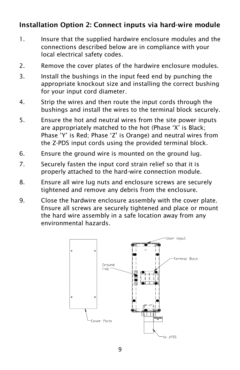#### Installation Option 2: Connect inputs via hard-wire module

- 1. Insure that the supplied hardwire enclosure modules and the connections described below are in compliance with your local electrical safety codes.
- 2. Remove the cover plates of the hardwire enclosure modules.
- 3. Install the bushings in the input feed end by punching the appropriate knockout size and installing the correct bushing for your input cord diameter.
- 4. Strip the wires and then route the input cords through the bushings and install the wires to the terminal block securely.
- 5. Ensure the hot and neutral wires from the site power inputs are appropriately matched to the hot (Phase 'X' is Black; Phase 'Y' is Red; Phase 'Z' is Orange) and neutral wires from the Z-PDS input cords using the provided terminal block.
- 6. Ensure the ground wire is mounted on the ground lug.
- 7. Securely fasten the input cord strain relief so that it is properly attached to the hard-wire connection module.
- 8. Ensure all wire lug nuts and enclosure screws are securely tightened and remove any debris from the enclosure.
- 9. Close the hardwire enclosure assembly with the cover plate. Ensure all screws are securely tightened and place or mount the hard wire assembly in a safe location away from any environmental hazards.

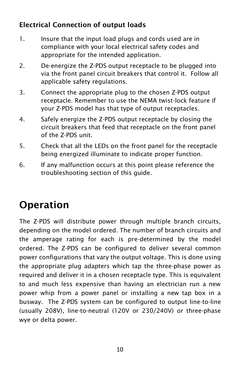### Electrical Connection of output loads

- 1. Insure that the input load plugs and cords used are in compliance with your local electrical safety codes and appropriate for the intended application.
- 2. De-energize the Z-PDS output receptacle to be plugged into via the front panel circuit breakers that control it. Follow all applicable safety regulations.
- 3. Connect the appropriate plug to the chosen Z-PDS output receptacle. Remember to use the NEMA twist-lock feature if your Z-PDS model has that type of output receptacles.
- 4. Safely energize the Z-PDS output receptacle by closing the circuit breakers that feed that receptacle on the front panel of the Z-PDS unit.
- 5. Check that all the LEDs on the front panel for the receptacle being energized illuminate to indicate proper function.
- 6. If any malfunction occurs at this point please reference the troubleshooting section of this guide.

# Operation

The Z-PDS will distribute power through multiple branch circuits, depending on the model ordered. The number of branch circuits and the amperage rating for each is pre-determined by the model ordered. The Z-PDS can be configured to deliver several common power configurations that vary the output voltage. This is done using the appropriate plug adapters which tap the three-phase power as required and deliver it in a chosen receptacle type. This is equivalent to and much less expensive than having an electrician run a new power whip from a power panel or installing a new tap box in a busway. The Z-PDS system can be configured to output line-to-line (usually 208V), line-to-neutral (120V or 230/240V) or three-phase wye or delta power.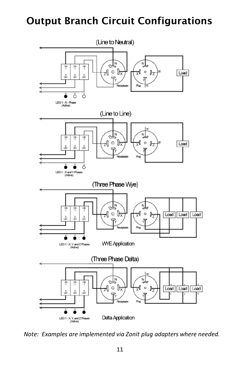### Output Branch Circuit Configurations



*Note: Examples are implemented via Zonit plug adapters where needed.*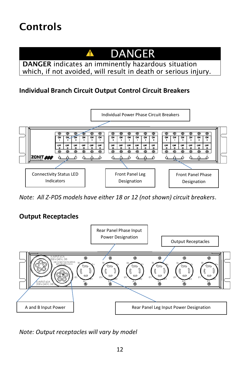### Controls



DANGER indicates an imminently hazardous situation which, if not avoided, will result in death or serious injury.

#### **Individual Branch Circuit Output Control Circuit Breakers**



*Note: All Z-PDS models have either 18 or 12 (not shown) circuit breakers*.

#### **Output Receptacles**



*Note: Output receptacles will vary by model*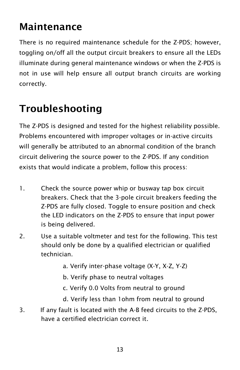### Maintenance

There is no required maintenance schedule for the Z-PDS; however, toggling on/off all the output circuit breakers to ensure all the LEDs illuminate during general maintenance windows or when the Z-PDS is not in use will help ensure all output branch circuits are working correctly.

# Troubleshooting

The Z-PDS is designed and tested for the highest reliability possible. Problems encountered with improper voltages or in-active circuits will generally be attributed to an abnormal condition of the branch circuit delivering the source power to the Z-PDS. If any condition exists that would indicate a problem, follow this process:

- 1. Check the source power whip or busway tap box circuit breakers. Check that the 3-pole circuit breakers feeding the Z-PDS are fully closed. Toggle to ensure position and check the LED indicators on the Z-PDS to ensure that input power is being delivered.
- 2. Use a suitable voltmeter and test for the following. This test should only be done by a qualified electrician or qualified technician.
	- a. Verify inter-phase voltage (X-Y, X-Z, Y-Z)
	- b. Verify phase to neutral voltages
	- c. Verify 0.0 Volts from neutral to ground
	- d. Verify less than 1ohm from neutral to ground
- 3. If any fault is located with the A-B feed circuits to the Z-PDS, have a certified electrician correct it.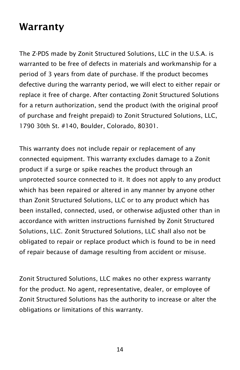### Warranty

The Z-PDS made by Zonit Structured Solutions, LLC in the U.S.A. is warranted to be free of defects in materials and workmanship for a period of 3 years from date of purchase. If the product becomes defective during the warranty period, we will elect to either repair or replace it free of charge. After contacting Zonit Structured Solutions for a return authorization, send the product (with the original proof of purchase and freight prepaid) to Zonit Structured Solutions, LLC, 1790 30th St. #140, Boulder, Colorado, 80301.

This warranty does not include repair or replacement of any connected equipment. This warranty excludes damage to a Zonit product if a surge or spike reaches the product through an unprotected source connected to it. It does not apply to any product which has been repaired or altered in any manner by anyone other than Zonit Structured Solutions, LLC or to any product which has been installed, connected, used, or otherwise adjusted other than in accordance with written instructions furnished by Zonit Structured Solutions, LLC. Zonit Structured Solutions, LLC shall also not be obligated to repair or replace product which is found to be in need of repair because of damage resulting from accident or misuse.

Zonit Structured Solutions, LLC makes no other express warranty for the product. No agent, representative, dealer, or employee of Zonit Structured Solutions has the authority to increase or alter the obligations or limitations of this warranty.

14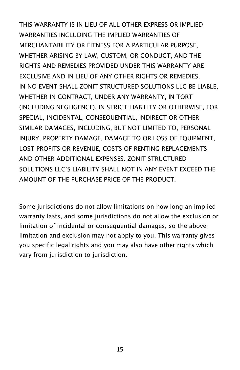THIS WARRANTY IS IN LIEU OF ALL OTHER EXPRESS OR IMPLIED WARRANTIES INCLUDING THE IMPLIED WARRANTIES OF MERCHANTABILITY OR FITNESS FOR A PARTICULAR PURPOSE, WHETHER ARISING BY LAW, CUSTOM, OR CONDUCT, AND THE RIGHTS AND REMEDIES PROVIDED UNDER THIS WARRANTY ARE EXCLUSIVE AND IN LIEU OF ANY OTHER RIGHTS OR REMEDIES. IN NO EVENT SHALL ZONIT STRUCTURED SOLUTIONS LLC BE LIABLE, WHETHER IN CONTRACT, UNDER ANY WARRANTY, IN TORT (INCLUDING NEGLIGENCE), IN STRICT LIABILITY OR OTHERWISE, FOR SPECIAL, INCIDENTAL, CONSEQUENTIAL, INDIRECT OR OTHER SIMILAR DAMAGES, INCLUDING, BUT NOT LIMITED TO, PERSONAL INJURY, PROPERTY DAMAGE, DAMAGE TO OR LOSS OF EQUIPMENT, LOST PROFITS OR REVENUE, COSTS OF RENTING REPLACEMENTS AND OTHER ADDITIONAL EXPENSES. ZONIT STRUCTURED SOLUTIONS LLC'S LIABILITY SHALL NOT IN ANY EVENT EXCEED THE AMOUNT OF THE PURCHASE PRICE OF THE PRODUCT.

Some jurisdictions do not allow limitations on how long an implied warranty lasts, and some jurisdictions do not allow the exclusion or limitation of incidental or consequential damages, so the above limitation and exclusion may not apply to you. This warranty gives you specific legal rights and you may also have other rights which vary from jurisdiction to jurisdiction.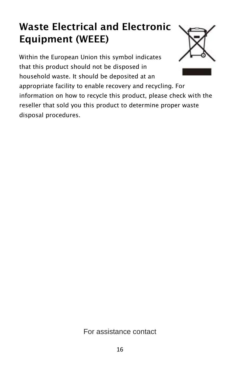# Waste Electrical and Electronic Equipment (WEEE)

Within the European Union this symbol indicates that this product should not be disposed in household waste. It should be deposited at an appropriate facility to enable recovery and recycling. For information on how to recycle this product, please check with the reseller that sold you this product to determine proper waste disposal procedures.



#### For assistance contact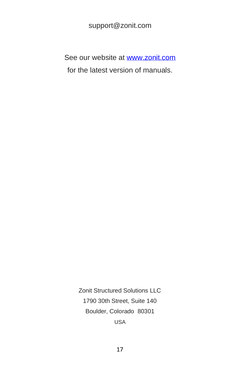#### support@zonit.com

See our website at [www.zonit.com](http://www.zonit.com/) for the latest version of manuals.

> Zonit Structured Solutions LLC 1790 30th Street, Suite 140 Boulder, Colorado 80301 USA